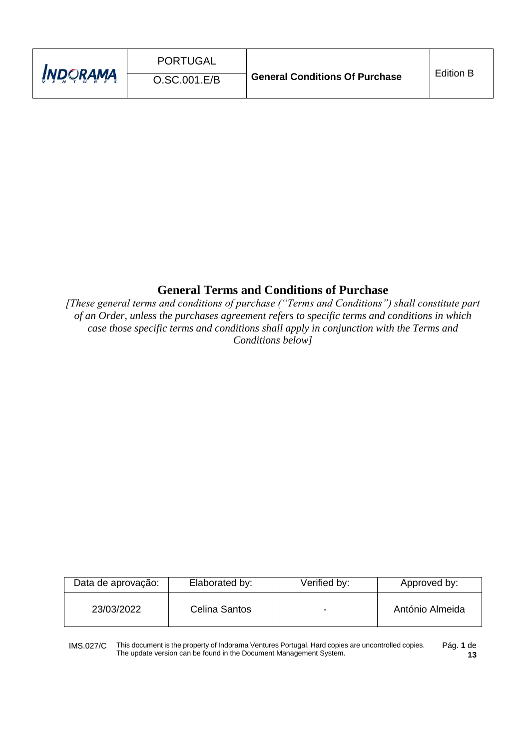| <b>INDORAMA</b> | PORTUGAL<br>O.SC.001.E/B | <b>General Conditions Of Purchase</b> | <b>Edition B</b> |
|-----------------|--------------------------|---------------------------------------|------------------|
|                 |                          |                                       |                  |

# **General Terms and Conditions of Purchase**

*[These general terms and conditions of purchase ("Terms and Conditions") shall constitute part of an Order, unless the purchases agreement refers to specific terms and conditions in which case those specific terms and conditions shall apply in conjunction with the Terms and Conditions below]*

| Data de aprovação: | Elaborated by: | Verified by: | Approved by:    |
|--------------------|----------------|--------------|-----------------|
| 23/03/2022         | Celina Santos  |              | António Almeida |

IMS.027/C This document is the property of Indorama Ventures Portugal. Hard copies are uncontrolled copies. The update version can be found in the Document Management System. Pág. **1** de **13**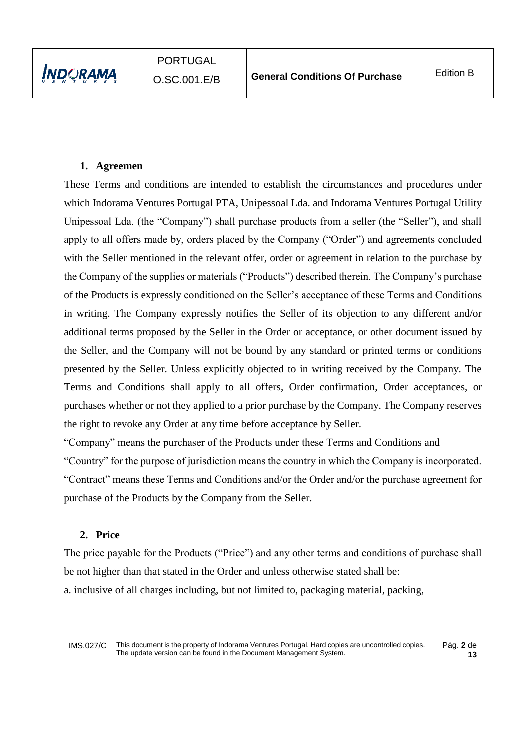### **1. Agreemen**

These Terms and conditions are intended to establish the circumstances and procedures under which Indorama Ventures Portugal PTA, Unipessoal Lda. and Indorama Ventures Portugal Utility Unipessoal Lda. (the "Company") shall purchase products from a seller (the "Seller"), and shall apply to all offers made by, orders placed by the Company ("Order") and agreements concluded with the Seller mentioned in the relevant offer, order or agreement in relation to the purchase by the Company of the supplies or materials ("Products") described therein. The Company's purchase of the Products is expressly conditioned on the Seller's acceptance of these Terms and Conditions in writing. The Company expressly notifies the Seller of its objection to any different and/or additional terms proposed by the Seller in the Order or acceptance, or other document issued by the Seller, and the Company will not be bound by any standard or printed terms or conditions presented by the Seller. Unless explicitly objected to in writing received by the Company. The Terms and Conditions shall apply to all offers, Order confirmation, Order acceptances, or purchases whether or not they applied to a prior purchase by the Company. The Company reserves the right to revoke any Order at any time before acceptance by Seller.

"Company" means the purchaser of the Products under these Terms and Conditions and

"Country" for the purpose of jurisdiction means the country in which the Company is incorporated. "Contract" means these Terms and Conditions and/or the Order and/or the purchase agreement for purchase of the Products by the Company from the Seller.

# **2. Price**

The price payable for the Products ("Price") and any other terms and conditions of purchase shall be not higher than that stated in the Order and unless otherwise stated shall be: a. inclusive of all charges including, but not limited to, packaging material, packing,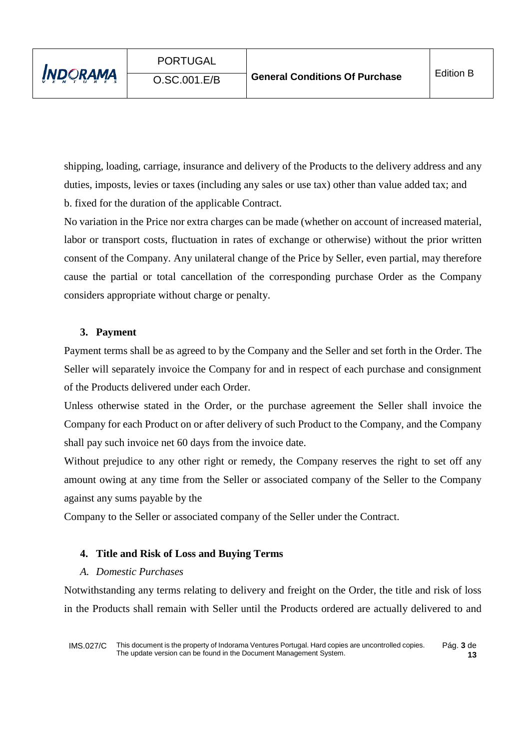shipping, loading, carriage, insurance and delivery of the Products to the delivery address and any duties, imposts, levies or taxes (including any sales or use tax) other than value added tax; and b. fixed for the duration of the applicable Contract.

No variation in the Price nor extra charges can be made (whether on account of increased material, labor or transport costs, fluctuation in rates of exchange or otherwise) without the prior written consent of the Company. Any unilateral change of the Price by Seller, even partial, may therefore cause the partial or total cancellation of the corresponding purchase Order as the Company considers appropriate without charge or penalty.

# **3. Payment**

Payment terms shall be as agreed to by the Company and the Seller and set forth in the Order. The Seller will separately invoice the Company for and in respect of each purchase and consignment of the Products delivered under each Order.

Unless otherwise stated in the Order, or the purchase agreement the Seller shall invoice the Company for each Product on or after delivery of such Product to the Company, and the Company shall pay such invoice net 60 days from the invoice date.

Without prejudice to any other right or remedy, the Company reserves the right to set off any amount owing at any time from the Seller or associated company of the Seller to the Company against any sums payable by the

Company to the Seller or associated company of the Seller under the Contract.

# **4. Title and Risk of Loss and Buying Terms**

#### *A. Domestic Purchases*

Notwithstanding any terms relating to delivery and freight on the Order, the title and risk of loss in the Products shall remain with Seller until the Products ordered are actually delivered to and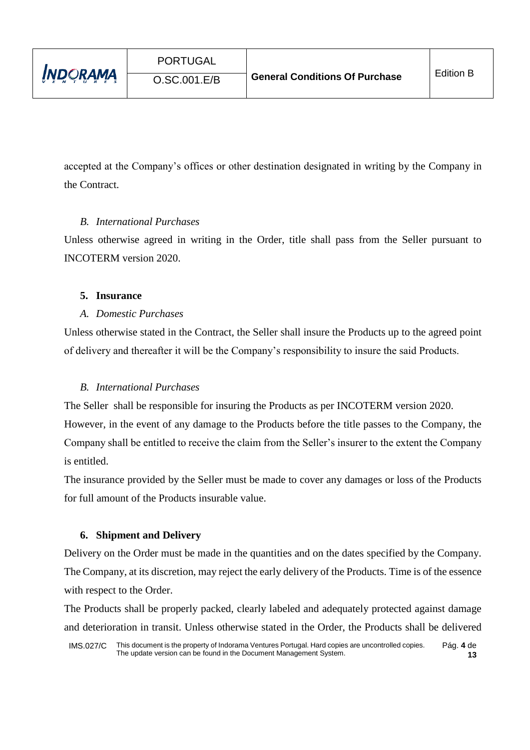accepted at the Company's offices or other destination designated in writing by the Company in the Contract.

# *B. International Purchases*

Unless otherwise agreed in writing in the Order, title shall pass from the Seller pursuant to INCOTERM version 2020.

# **5. Insurance**

# *A. Domestic Purchases*

Unless otherwise stated in the Contract, the Seller shall insure the Products up to the agreed point of delivery and thereafter it will be the Company's responsibility to insure the said Products.

# *B. International Purchases*

The Seller shall be responsible for insuring the Products as per INCOTERM version 2020.

However, in the event of any damage to the Products before the title passes to the Company, the Company shall be entitled to receive the claim from the Seller's insurer to the extent the Company is entitled.

The insurance provided by the Seller must be made to cover any damages or loss of the Products for full amount of the Products insurable value.

# **6. Shipment and Delivery**

Delivery on the Order must be made in the quantities and on the dates specified by the Company. The Company, at its discretion, may reject the early delivery of the Products. Time is of the essence with respect to the Order.

The Products shall be properly packed, clearly labeled and adequately protected against damage and deterioration in transit. Unless otherwise stated in the Order, the Products shall be delivered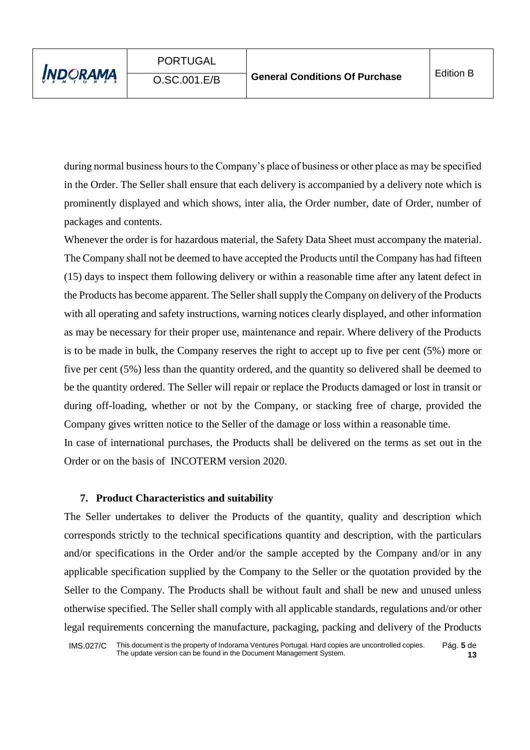during normal business hours to the Company's place of business or other place as may be specified in the Order. The Seller shall ensure that each delivery is accompanied by a delivery note which is prominently displayed and which shows, inter alia, the Order number, date of Order, number of packages and contents.

Whenever the order is for hazardous material, the Safety Data Sheet must accompany the material. The Company shall not be deemed to have accepted the Products until the Company has had fifteen (15) days to inspect them following delivery or within a reasonable time after any latent defect in the Products has become apparent. The Seller shall supply the Company on delivery of the Products with all operating and safety instructions, warning notices clearly displayed, and other information as may be necessary for their proper use, maintenance and repair. Where delivery of the Products is to be made in bulk, the Company reserves the right to accept up to five per cent (5%) more or five per cent (5%) less than the quantity ordered, and the quantity so delivered shall be deemed to be the quantity ordered. The Seller will repair or replace the Products damaged or lost in transit or during off-loading, whether or not by the Company, or stacking free of charge, provided the Company gives written notice to the Seller of the damage or loss within a reasonable time. In case of international purchases, the Products shall be delivered on the terms as set out in the

Order or on the basis of INCOTERM version 2020.

#### **7. Product Characteristics and suitability**

The Seller undertakes to deliver the Products of the quantity, quality and description which corresponds strictly to the technical specifications quantity and description, with the particulars and/or specifications in the Order and/or the sample accepted by the Company and/or in any applicable specification supplied by the Company to the Seller or the quotation provided by the Seller to the Company. The Products shall be without fault and shall be new and unused unless otherwise specified. The Seller shall comply with all applicable standards, regulations and/or other legal requirements concerning the manufacture, packaging, packing and delivery of the Products

IMS.027/C This document is the property of Indorama Ventures Portugal. Hard copies are uncontrolled copies. The update version can be found in the Document Management System. Pág. **5** de **13**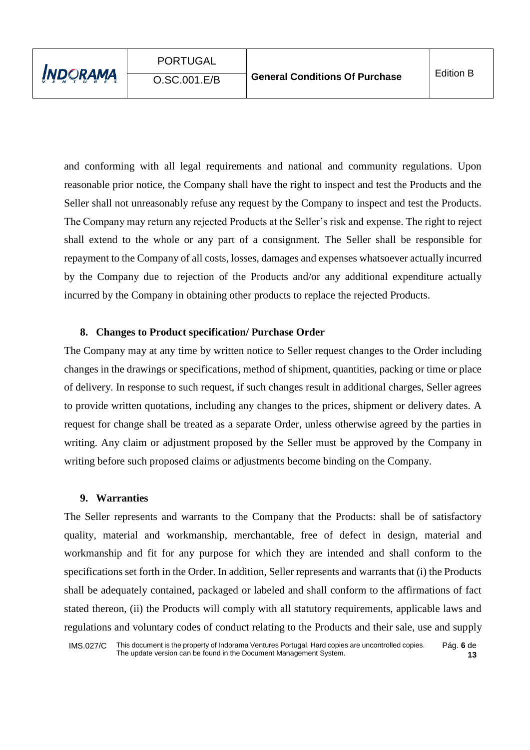and conforming with all legal requirements and national and community regulations. Upon reasonable prior notice, the Company shall have the right to inspect and test the Products and the Seller shall not unreasonably refuse any request by the Company to inspect and test the Products. The Company may return any rejected Products at the Seller's risk and expense. The right to reject shall extend to the whole or any part of a consignment. The Seller shall be responsible for repayment to the Company of all costs, losses, damages and expenses whatsoever actually incurred by the Company due to rejection of the Products and/or any additional expenditure actually incurred by the Company in obtaining other products to replace the rejected Products.

#### **8. Changes to Product specification/ Purchase Order**

The Company may at any time by written notice to Seller request changes to the Order including changes in the drawings or specifications, method of shipment, quantities, packing or time or place of delivery. In response to such request, if such changes result in additional charges, Seller agrees to provide written quotations, including any changes to the prices, shipment or delivery dates. A request for change shall be treated as a separate Order, unless otherwise agreed by the parties in writing. Any claim or adjustment proposed by the Seller must be approved by the Company in writing before such proposed claims or adjustments become binding on the Company.

#### **9. Warranties**

The Seller represents and warrants to the Company that the Products: shall be of satisfactory quality, material and workmanship, merchantable, free of defect in design, material and workmanship and fit for any purpose for which they are intended and shall conform to the specifications set forth in the Order. In addition, Seller represents and warrants that (i) the Products shall be adequately contained, packaged or labeled and shall conform to the affirmations of fact stated thereon, (ii) the Products will comply with all statutory requirements, applicable laws and regulations and voluntary codes of conduct relating to the Products and their sale, use and supply

IMS.027/C This document is the property of Indorama Ventures Portugal. Hard copies are uncontrolled copies. The update version can be found in the Document Management System. Pág. **6** de **13**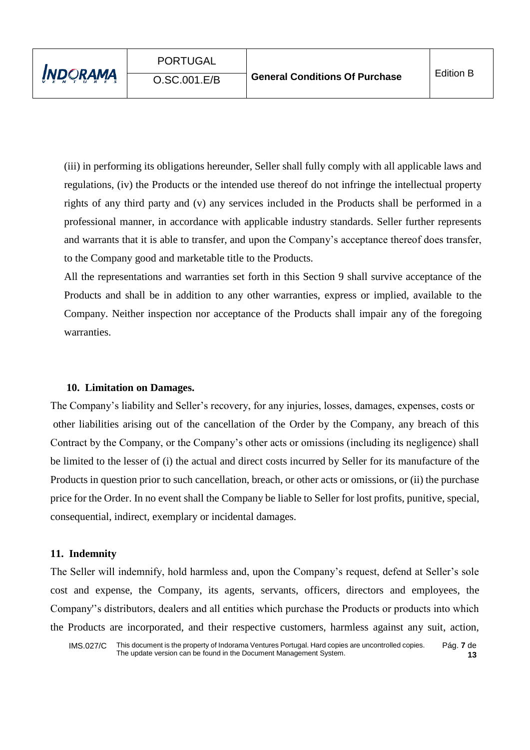(iii) in performing its obligations hereunder, Seller shall fully comply with all applicable laws and regulations, (iv) the Products or the intended use thereof do not infringe the intellectual property rights of any third party and (v) any services included in the Products shall be performed in a professional manner, in accordance with applicable industry standards. Seller further represents and warrants that it is able to transfer, and upon the Company's acceptance thereof does transfer, to the Company good and marketable title to the Products.

All the representations and warranties set forth in this Section 9 shall survive acceptance of the Products and shall be in addition to any other warranties, express or implied, available to the Company. Neither inspection nor acceptance of the Products shall impair any of the foregoing warranties.

# **10. Limitation on Damages.**

The Company's liability and Seller's recovery, for any injuries, losses, damages, expenses, costs or other liabilities arising out of the cancellation of the Order by the Company, any breach of this Contract by the Company, or the Company's other acts or omissions (including its negligence) shall be limited to the lesser of (i) the actual and direct costs incurred by Seller for its manufacture of the Products in question prior to such cancellation, breach, or other acts or omissions, or (ii) the purchase price for the Order. In no event shall the Company be liable to Seller for lost profits, punitive, special, consequential, indirect, exemplary or incidental damages.

#### **11. Indemnity**

The Seller will indemnify, hold harmless and, upon the Company's request, defend at Seller's sole cost and expense, the Company, its agents, servants, officers, directors and employees, the Company''s distributors, dealers and all entities which purchase the Products or products into which the Products are incorporated, and their respective customers, harmless against any suit, action,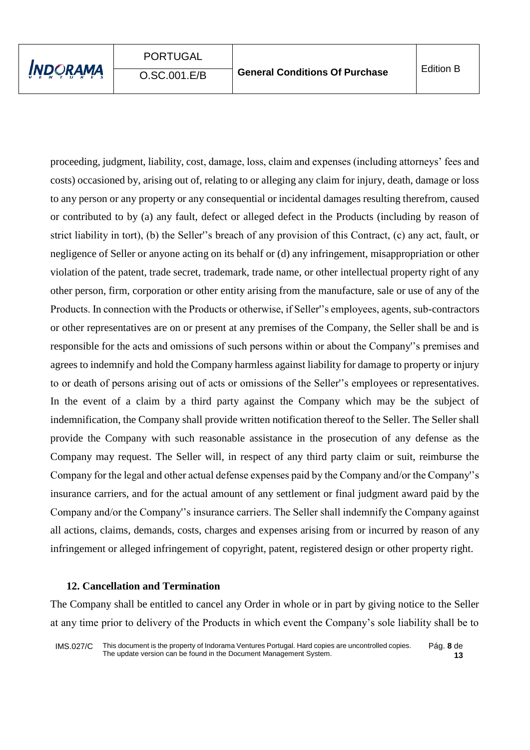proceeding, judgment, liability, cost, damage, loss, claim and expenses (including attorneys' fees and costs) occasioned by, arising out of, relating to or alleging any claim for injury, death, damage or loss to any person or any property or any consequential or incidental damages resulting therefrom, caused or contributed to by (a) any fault, defect or alleged defect in the Products (including by reason of strict liability in tort), (b) the Seller''s breach of any provision of this Contract, (c) any act, fault, or negligence of Seller or anyone acting on its behalf or (d) any infringement, misappropriation or other violation of the patent, trade secret, trademark, trade name, or other intellectual property right of any other person, firm, corporation or other entity arising from the manufacture, sale or use of any of the Products. In connection with the Products or otherwise, if Seller''s employees, agents, sub-contractors or other representatives are on or present at any premises of the Company, the Seller shall be and is responsible for the acts and omissions of such persons within or about the Company''s premises and agrees to indemnify and hold the Company harmless against liability for damage to property or injury to or death of persons arising out of acts or omissions of the Seller''s employees or representatives. In the event of a claim by a third party against the Company which may be the subject of indemnification, the Company shall provide written notification thereof to the Seller. The Seller shall provide the Company with such reasonable assistance in the prosecution of any defense as the Company may request. The Seller will, in respect of any third party claim or suit, reimburse the Company for the legal and other actual defense expenses paid by the Company and/or the Company''s insurance carriers, and for the actual amount of any settlement or final judgment award paid by the Company and/or the Company''s insurance carriers. The Seller shall indemnify the Company against all actions, claims, demands, costs, charges and expenses arising from or incurred by reason of any infringement or alleged infringement of copyright, patent, registered design or other property right.

#### **12. Cancellation and Termination**

The Company shall be entitled to cancel any Order in whole or in part by giving notice to the Seller at any time prior to delivery of the Products in which event the Company's sole liability shall be to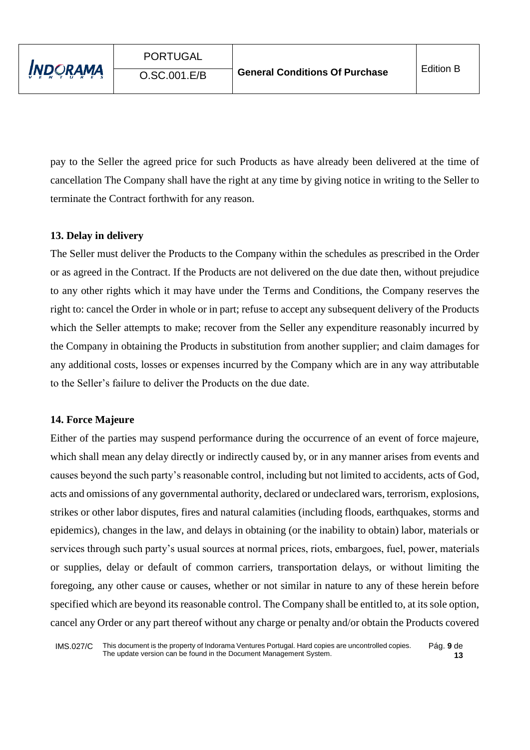pay to the Seller the agreed price for such Products as have already been delivered at the time of cancellation The Company shall have the right at any time by giving notice in writing to the Seller to terminate the Contract forthwith for any reason.

### **13. Delay in delivery**

The Seller must deliver the Products to the Company within the schedules as prescribed in the Order or as agreed in the Contract. If the Products are not delivered on the due date then, without prejudice to any other rights which it may have under the Terms and Conditions, the Company reserves the right to: cancel the Order in whole or in part; refuse to accept any subsequent delivery of the Products which the Seller attempts to make; recover from the Seller any expenditure reasonably incurred by the Company in obtaining the Products in substitution from another supplier; and claim damages for any additional costs, losses or expenses incurred by the Company which are in any way attributable to the Seller's failure to deliver the Products on the due date.

#### **14. Force Majeure**

Either of the parties may suspend performance during the occurrence of an event of force majeure, which shall mean any delay directly or indirectly caused by, or in any manner arises from events and causes beyond the such party's reasonable control, including but not limited to accidents, acts of God, acts and omissions of any governmental authority, declared or undeclared wars, terrorism, explosions, strikes or other labor disputes, fires and natural calamities (including floods, earthquakes, storms and epidemics), changes in the law, and delays in obtaining (or the inability to obtain) labor, materials or services through such party's usual sources at normal prices, riots, embargoes, fuel, power, materials or supplies, delay or default of common carriers, transportation delays, or without limiting the foregoing, any other cause or causes, whether or not similar in nature to any of these herein before specified which are beyond its reasonable control. The Company shall be entitled to, at its sole option, cancel any Order or any part thereof without any charge or penalty and/or obtain the Products covered

IMS.027/C This document is the property of Indorama Ventures Portugal. Hard copies are uncontrolled copies. The update version can be found in the Document Management System. Pág. **9** de **13**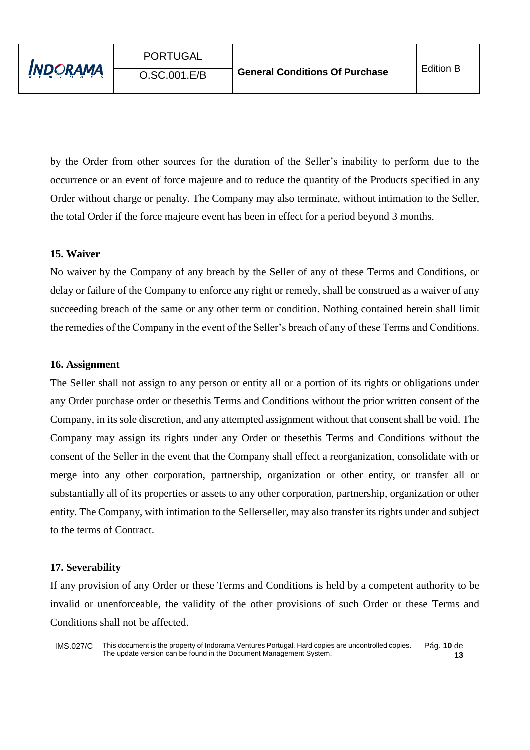by the Order from other sources for the duration of the Seller's inability to perform due to the occurrence or an event of force majeure and to reduce the quantity of the Products specified in any Order without charge or penalty. The Company may also terminate, without intimation to the Seller, the total Order if the force majeure event has been in effect for a period beyond 3 months.

#### **15. Waiver**

No waiver by the Company of any breach by the Seller of any of these Terms and Conditions, or delay or failure of the Company to enforce any right or remedy, shall be construed as a waiver of any succeeding breach of the same or any other term or condition. Nothing contained herein shall limit the remedies of the Company in the event of the Seller's breach of any of these Terms and Conditions.

#### **16. Assignment**

The Seller shall not assign to any person or entity all or a portion of its rights or obligations under any Order purchase order or thesethis Terms and Conditions without the prior written consent of the Company, in its sole discretion, and any attempted assignment without that consent shall be void. The Company may assign its rights under any Order or thesethis Terms and Conditions without the consent of the Seller in the event that the Company shall effect a reorganization, consolidate with or merge into any other corporation, partnership, organization or other entity, or transfer all or substantially all of its properties or assets to any other corporation, partnership, organization or other entity. The Company, with intimation to the Sellerseller, may also transfer its rights under and subject to the terms of Contract.

#### **17. Severability**

If any provision of any Order or these Terms and Conditions is held by a competent authority to be invalid or unenforceable, the validity of the other provisions of such Order or these Terms and Conditions shall not be affected.

IMS.027/C This document is the property of Indorama Ventures Portugal. Hard copies are uncontrolled copies. The update version can be found in the Document Management System. Pág. **10** de **13**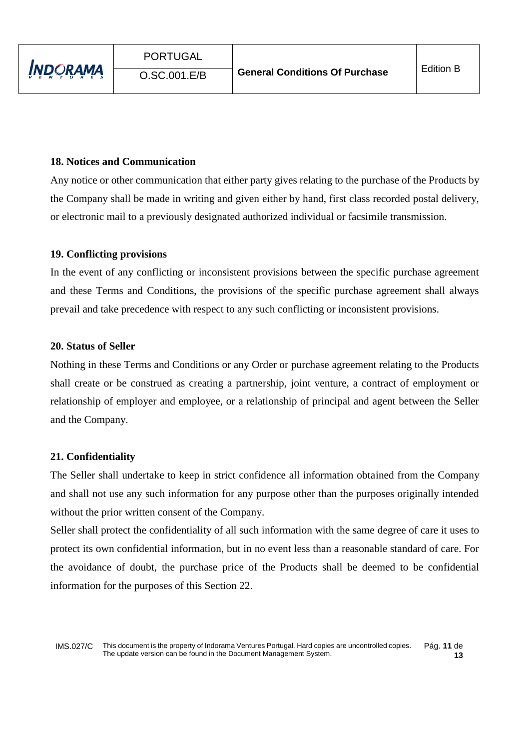### **18. Notices and Communication**

Any notice or other communication that either party gives relating to the purchase of the Products by the Company shall be made in writing and given either by hand, first class recorded postal delivery, or electronic mail to a previously designated authorized individual or facsimile transmission.

#### **19. Conflicting provisions**

In the event of any conflicting or inconsistent provisions between the specific purchase agreement and these Terms and Conditions, the provisions of the specific purchase agreement shall always prevail and take precedence with respect to any such conflicting or inconsistent provisions.

#### **20. Status of Seller**

Nothing in these Terms and Conditions or any Order or purchase agreement relating to the Products shall create or be construed as creating a partnership, joint venture, a contract of employment or relationship of employer and employee, or a relationship of principal and agent between the Seller and the Company.

#### **21. Confidentiality**

The Seller shall undertake to keep in strict confidence all information obtained from the Company and shall not use any such information for any purpose other than the purposes originally intended without the prior written consent of the Company.

Seller shall protect the confidentiality of all such information with the same degree of care it uses to protect its own confidential information, but in no event less than a reasonable standard of care. For the avoidance of doubt, the purchase price of the Products shall be deemed to be confidential information for the purposes of this Section 22.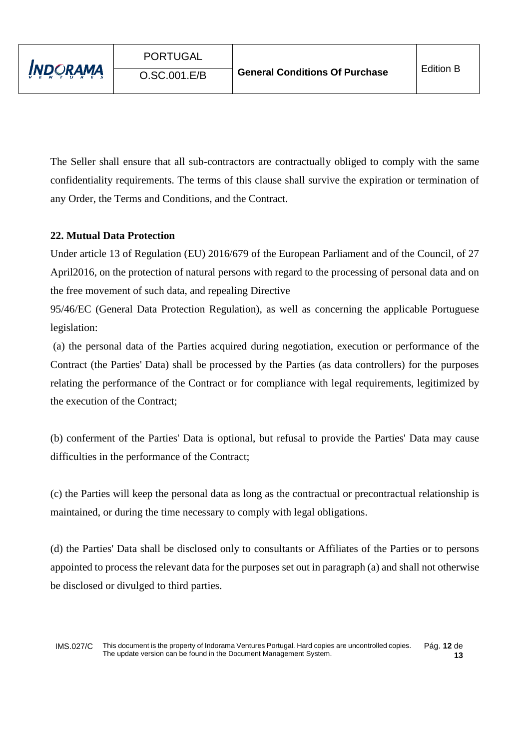The Seller shall ensure that all sub-contractors are contractually obliged to comply with the same confidentiality requirements. The terms of this clause shall survive the expiration or termination of any Order, the Terms and Conditions, and the Contract.

# **22. Mutual Data Protection**

Under article 13 of Regulation (EU) 2016/679 of the European Parliament and of the Council, of 27 April2016, on the protection of natural persons with regard to the processing of personal data and on the free movement of such data, and repealing Directive

95/46/EC (General Data Protection Regulation), as well as concerning the applicable Portuguese legislation:

(a) the personal data of the Parties acquired during negotiation, execution or performance of the Contract (the Parties' Data) shall be processed by the Parties (as data controllers) for the purposes relating the performance of the Contract or for compliance with legal requirements, legitimized by the execution of the Contract;

(b) conferment of the Parties' Data is optional, but refusal to provide the Parties' Data may cause difficulties in the performance of the Contract;

(c) the Parties will keep the personal data as long as the contractual or precontractual relationship is maintained, or during the time necessary to comply with legal obligations.

(d) the Parties' Data shall be disclosed only to consultants or Affiliates of the Parties or to persons appointed to process the relevant data for the purposes set out in paragraph (a) and shall not otherwise be disclosed or divulged to third parties.